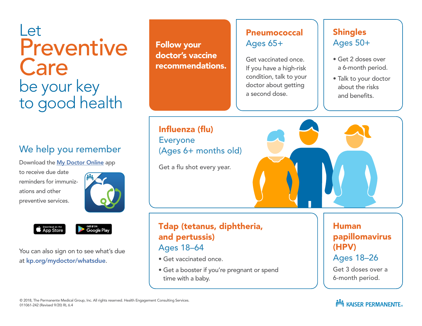# Let Preventive **Care** be your key to good health

# We help you remember

Download the [My Doctor Online](https://mydoctor.kaiserpermanente.org/ncal/mdo/#/) app

to receive due date reminders for immunizations and other preventive services.





<sup>сет ітом</sup><br>Google Play

You can also sign on to see what's due at [kp.org/mydoctor/whatsdue](http://kp.org/mydoctor/whatsdue).

Follow your doctor's vaccine recommendations.

### Pneumococcal Ages 65+

Get vaccinated once. If you have a high-risk condition, talk to your doctor about getting a second dose.

### **Shingles** Ages 50+

- Get 2 doses over a 6-month period.
- Talk to your doctor about the risks and benefits.

Influenza (flu) Everyone (Ages 6+ months old)

Get a flu shot every year.

### Tdap (tetanus, diphtheria, and pertussis) Ages 18–64

- Get vaccinated once.
- Get a booster if you're pregnant or spend time with a baby.

Human papillomavirus (HPV) Ages 18–26

Get 3 doses over a 6-month period.